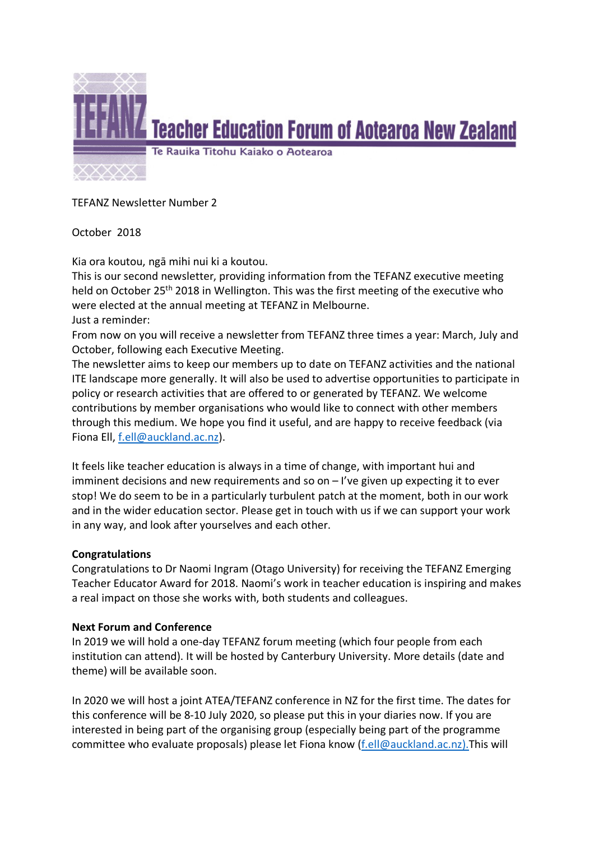

TEFANZ Newsletter Number 2

October 2018

Kia ora koutou, ngā mihi nui ki a koutou.

This is our second newsletter, providing information from the TEFANZ executive meeting held on October 25th 2018 in Wellington. This was the first meeting of the executive who were elected at the annual meeting at TEFANZ in Melbourne. Just a reminder:

From now on you will receive a newsletter from TEFANZ three times a year: March, July and October, following each Executive Meeting.

The newsletter aims to keep our members up to date on TEFANZ activities and the national ITE landscape more generally. It will also be used to advertise opportunities to participate in policy or research activities that are offered to or generated by TEFANZ. We welcome contributions by member organisations who would like to connect with other members through this medium. We hope you find it useful, and are happy to receive feedback (via Fiona Ell, f.ell@auckland.ac.nz).

It feels like teacher education is always in a time of change, with important hui and imminent decisions and new requirements and so on – I've given up expecting it to ever stop! We do seem to be in a particularly turbulent patch at the moment, both in our work and in the wider education sector. Please get in touch with us if we can support your work in any way, and look after yourselves and each other.

# **Congratulations**

Congratulations to Dr Naomi Ingram (Otago University) for receiving the TEFANZ Emerging Teacher Educator Award for 2018. Naomi's work in teacher education is inspiring and makes a real impact on those she works with, both students and colleagues.

# **Next Forum and Conference**

In 2019 we will hold a one-day TEFANZ forum meeting (which four people from each institution can attend). It will be hosted by Canterbury University. More details (date and theme) will be available soon.

In 2020 we will host a joint ATEA/TEFANZ conference in NZ for the first time. The dates for this conference will be 8-10 July 2020, so please put this in your diaries now. If you are interested in being part of the organising group (especially being part of the programme committee who evaluate proposals) please let Fiona know (f.ell@auckland.ac.nz). This will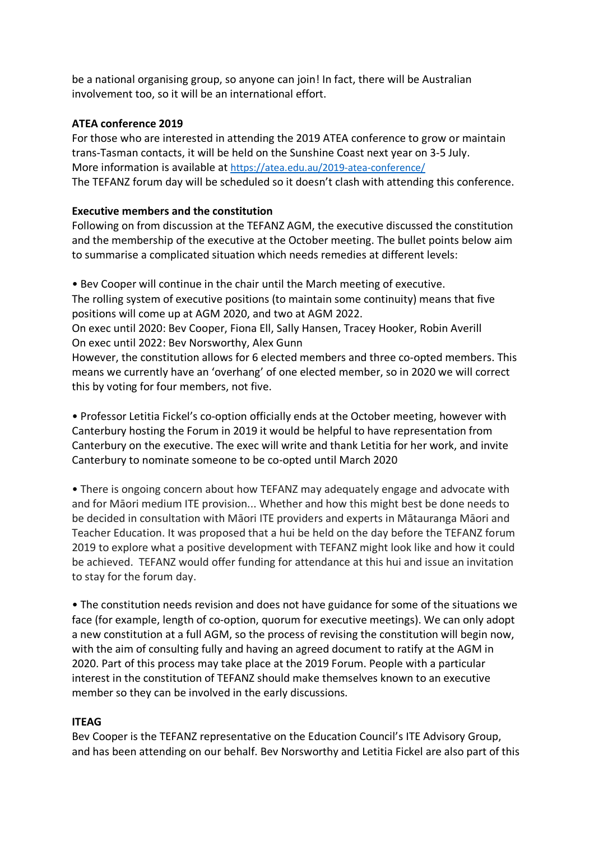be a national organising group, so anyone can join! In fact, there will be Australian involvement too, so it will be an international effort.

### **ATEA conference 2019**

For those who are interested in attending the 2019 ATEA conference to grow or maintain trans-Tasman contacts, it will be held on the Sunshine Coast next year on 3-5 July. More information is available at https://atea.edu.au/2019-atea-conference/ The TEFANZ forum day will be scheduled so it doesn't clash with attending this conference.

### **Executive members and the constitution**

Following on from discussion at the TEFANZ AGM, the executive discussed the constitution and the membership of the executive at the October meeting. The bullet points below aim to summarise a complicated situation which needs remedies at different levels:

• Bev Cooper will continue in the chair until the March meeting of executive. The rolling system of executive positions (to maintain some continuity) means that five positions will come up at AGM 2020, and two at AGM 2022.

On exec until 2020: Bev Cooper, Fiona Ell, Sally Hansen, Tracey Hooker, Robin Averill On exec until 2022: Bev Norsworthy, Alex Gunn

However, the constitution allows for 6 elected members and three co-opted members. This means we currently have an 'overhang' of one elected member, so in 2020 we will correct this by voting for four members, not five.

• Professor Letitia Fickel's co-option officially ends at the October meeting, however with Canterbury hosting the Forum in 2019 it would be helpful to have representation from Canterbury on the executive. The exec will write and thank Letitia for her work, and invite Canterbury to nominate someone to be co-opted until March 2020

• There is ongoing concern about how TEFANZ may adequately engage and advocate with and for Māori medium ITE provision... Whether and how this might best be done needs to be decided in consultation with Māori ITE providers and experts in Mātauranga Māori and Teacher Education. It was proposed that a hui be held on the day before the TEFANZ forum 2019 to explore what a positive development with TEFANZ might look like and how it could be achieved. TEFANZ would offer funding for attendance at this hui and issue an invitation to stay for the forum day.

• The constitution needs revision and does not have guidance for some of the situations we face (for example, length of co-option, quorum for executive meetings). We can only adopt a new constitution at a full AGM, so the process of revising the constitution will begin now, with the aim of consulting fully and having an agreed document to ratify at the AGM in 2020. Part of this process may take place at the 2019 Forum. People with a particular interest in the constitution of TEFANZ should make themselves known to an executive member so they can be involved in the early discussions.

# **ITEAG**

Bev Cooper is the TEFANZ representative on the Education Council's ITE Advisory Group, and has been attending on our behalf. Bev Norsworthy and Letitia Fickel are also part of this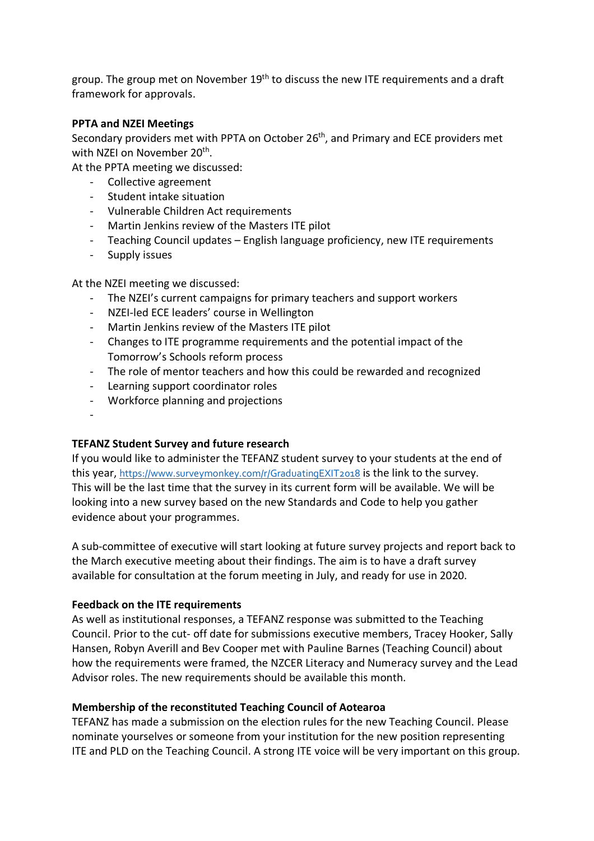group. The group met on November 19<sup>th</sup> to discuss the new ITE requirements and a draft framework for approvals.

#### **PPTA and NZEI Meetings**

Secondary providers met with PPTA on October 26th, and Primary and ECE providers met with NZEI on November 20<sup>th</sup>.

At the PPTA meeting we discussed:

- Collective agreement
- Student intake situation
- Vulnerable Children Act requirements
- Martin Jenkins review of the Masters ITE pilot
- Teaching Council updates English language proficiency, new ITE requirements
- Supply issues

At the NZEI meeting we discussed:

- The NZEI's current campaigns for primary teachers and support workers
- NZEI-led ECE leaders' course in Wellington
- Martin Jenkins review of the Masters ITE pilot
- Changes to ITE programme requirements and the potential impact of the Tomorrow's Schools reform process
- The role of mentor teachers and how this could be rewarded and recognized
- Learning support coordinator roles
- Workforce planning and projections
- -

# **TEFANZ Student Survey and future research**

If you would like to administer the TEFANZ student survey to your students at the end of this year, https://www.surveymonkey.com/r/GraduatingEXIT2018 is the link to the survey. This will be the last time that the survey in its current form will be available. We will be looking into a new survey based on the new Standards and Code to help you gather evidence about your programmes.

A sub-committee of executive will start looking at future survey projects and report back to the March executive meeting about their findings. The aim is to have a draft survey available for consultation at the forum meeting in July, and ready for use in 2020.

#### **Feedback on the ITE requirements**

As well as institutional responses, a TEFANZ response was submitted to the Teaching Council. Prior to the cut- off date for submissions executive members, Tracey Hooker, Sally Hansen, Robyn Averill and Bev Cooper met with Pauline Barnes (Teaching Council) about how the requirements were framed, the NZCER Literacy and Numeracy survey and the Lead Advisor roles. The new requirements should be available this month.

#### **Membership of the reconstituted Teaching Council of Aotearoa**

TEFANZ has made a submission on the election rules for the new Teaching Council. Please nominate yourselves or someone from your institution for the new position representing ITE and PLD on the Teaching Council. A strong ITE voice will be very important on this group.